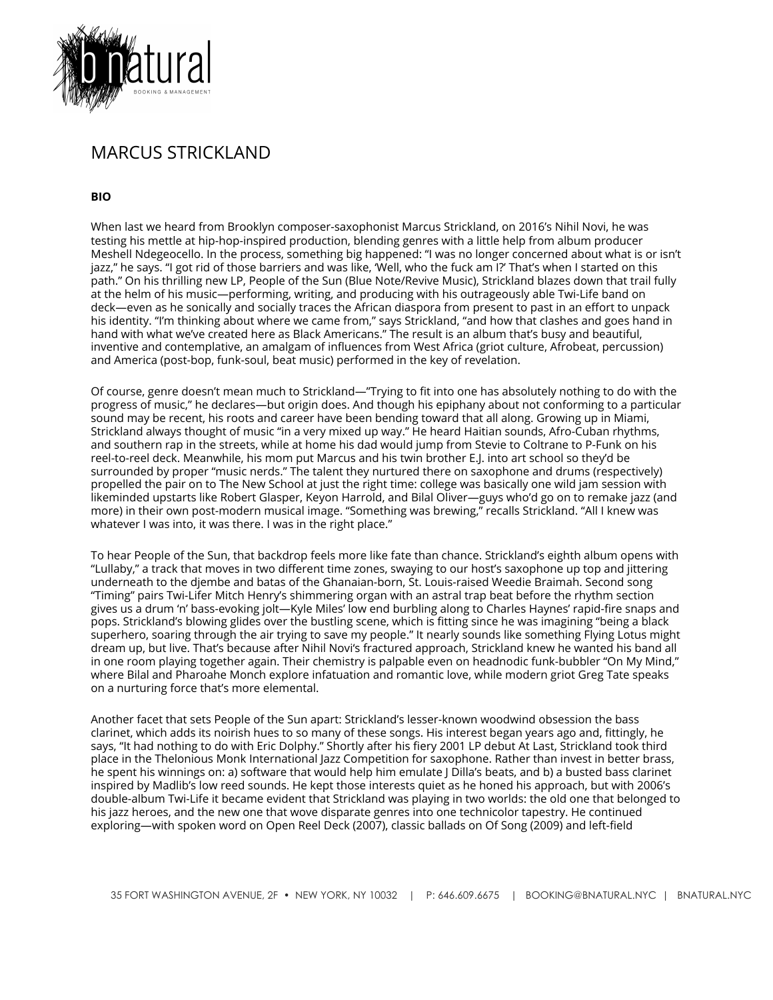

## MARCUS STRICKLAND

**BIO**

When last we heard from Brooklyn composer-saxophonist Marcus Strickland, on 2016's Nihil Novi, he was testing his mettle at hip-hop-inspired production, blending genres with a little help from album producer Meshell Ndegeocello. In the process, something big happened: "I was no longer concerned about what is or isn't jazz," he says. "I got rid of those barriers and was like, 'Well, who the fuck am I?' That's when I started on this path." On his thrilling new LP, People of the Sun (Blue Note/Revive Music), Strickland blazes down that trail fully at the helm of his music—performing, writing, and producing with his outrageously able Twi-Life band on deck—even as he sonically and socially traces the African diaspora from present to past in an effort to unpack his identity. "I'm thinking about where we came from," says Strickland, "and how that clashes and goes hand in hand with what we've created here as Black Americans." The result is an album that's busy and beautiful, inventive and contemplative, an amalgam of influences from West Africa (griot culture, Afrobeat, percussion) and America (post-bop, funk-soul, beat music) performed in the key of revelation.

Of course, genre doesn't mean much to Strickland—"Trying to fit into one has absolutely nothing to do with the progress of music," he declares—but origin does. And though his epiphany about not conforming to a particular sound may be recent, his roots and career have been bending toward that all along. Growing up in Miami, Strickland always thought of music "in a very mixed up way." He heard Haitian sounds, Afro-Cuban rhythms, and southern rap in the streets, while at home his dad would jump from Stevie to Coltrane to P-Funk on his reel-to-reel deck. Meanwhile, his mom put Marcus and his twin brother E.J. into art school so they'd be surrounded by proper "music nerds." The talent they nurtured there on saxophone and drums (respectively) propelled the pair on to The New School at just the right time: college was basically one wild jam session with likeminded upstarts like Robert Glasper, Keyon Harrold, and Bilal Oliver—guys who'd go on to remake jazz (and more) in their own post-modern musical image. "Something was brewing," recalls Strickland. "All I knew was whatever I was into, it was there. I was in the right place."

To hear People of the Sun, that backdrop feels more like fate than chance. Strickland's eighth album opens with "Lullaby," a track that moves in two different time zones, swaying to our host's saxophone up top and jittering underneath to the djembe and batas of the Ghanaian-born, St. Louis-raised Weedie Braimah. Second song "Timing" pairs Twi-Lifer Mitch Henry's shimmering organ with an astral trap beat before the rhythm section gives us a drum 'n' bass-evoking jolt—Kyle Miles' low end burbling along to Charles Haynes' rapid-fire snaps and pops. Strickland's blowing glides over the bustling scene, which is fitting since he was imagining "being a black superhero, soaring through the air trying to save my people." It nearly sounds like something Flying Lotus might dream up, but live. That's because after Nihil Novi's fractured approach, Strickland knew he wanted his band all in one room playing together again. Their chemistry is palpable even on headnodic funk-bubbler "On My Mind," where Bilal and Pharoahe Monch explore infatuation and romantic love, while modern griot Greg Tate speaks on a nurturing force that's more elemental.

Another facet that sets People of the Sun apart: Strickland's lesser-known woodwind obsession the bass clarinet, which adds its noirish hues to so many of these songs. His interest began years ago and, fittingly, he says, "It had nothing to do with Eric Dolphy." Shortly after his fiery 2001 LP debut At Last, Strickland took third place in the Thelonious Monk International Jazz Competition for saxophone. Rather than invest in better brass, he spent his winnings on: a) software that would help him emulate J Dilla's beats, and b) a busted bass clarinet inspired by Madlib's low reed sounds. He kept those interests quiet as he honed his approach, but with 2006's double-album Twi-Life it became evident that Strickland was playing in two worlds: the old one that belonged to his jazz heroes, and the new one that wove disparate genres into one technicolor tapestry. He continued exploring—with spoken word on Open Reel Deck (2007), classic ballads on Of Song (2009) and left-field